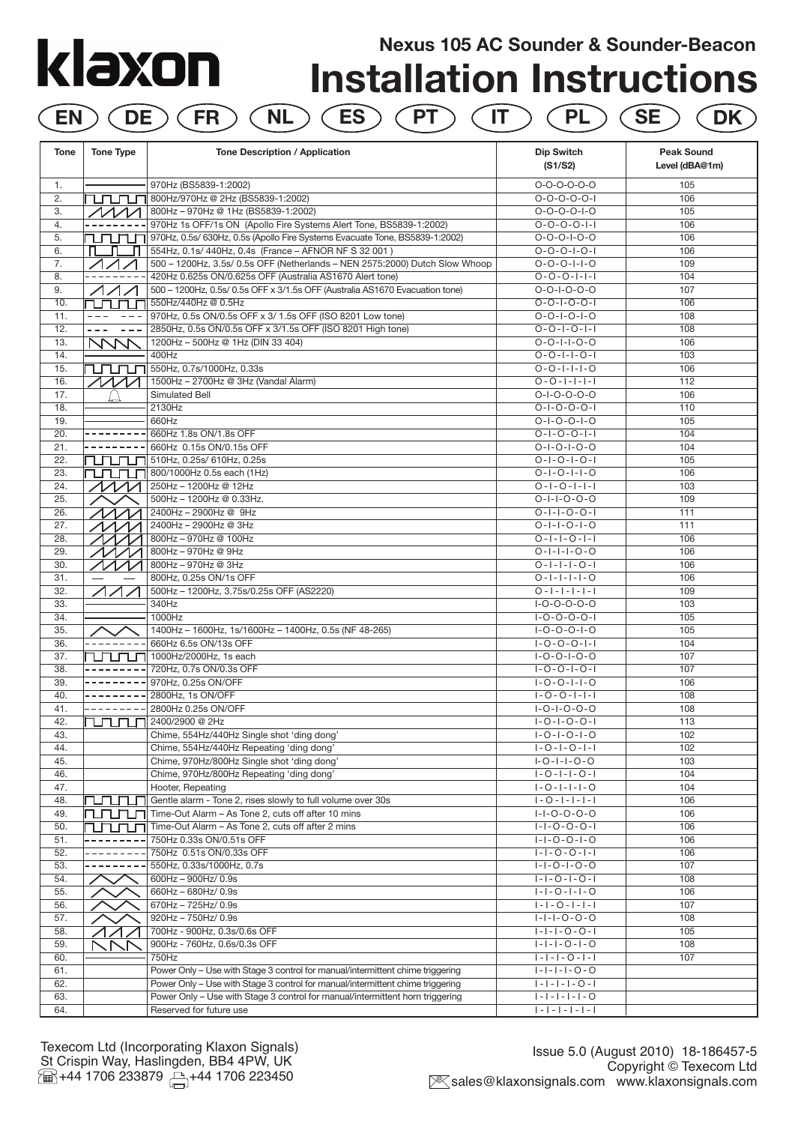# **Nexus 105 AC Sounder & Sounder-Beacon** klaxon **Installation Instructions EN DE FR NL ES PT IT PL SE DK**

| Tone       | <b>Tone Type</b>                                | Tone Description / Application                                                                                                                                   | Dip Switch<br>(S1/S2)                              | <b>Peak Sound</b><br>Level (dBA@1m) |
|------------|-------------------------------------------------|------------------------------------------------------------------------------------------------------------------------------------------------------------------|----------------------------------------------------|-------------------------------------|
| 1.         |                                                 | 970Hz (BS5839-1:2002)                                                                                                                                            | $O-O-O-O-O-O$                                      | 105                                 |
| 2.         |                                                 | TUTUTUR 800Hz/970Hz @ 2Hz (BS5839-1:2002)                                                                                                                        | $0 - 0 - 0 - 0 - 1$                                | 106                                 |
| 3.         | $\Lambda\Lambda\Lambda\Lambda$                  | 800Hz - 970Hz @ 1Hz (BS5839-1:2002)                                                                                                                              | $0 - 0 - 0 - 0 - 1 - 0$                            | 105                                 |
| 4.         |                                                 | 970Hz 1s OFF/1s ON (Apollo Fire Systems Alert Tone, BS5839-1:2002)                                                                                               | $0 - 0 - 0 - 0 - 1 - 1$                            | 106                                 |
| 5.         | rununi                                          | 970Hz, 0.5s/ 630Hz, 0.5s (Apollo Fire Systems Evacuate Tone, BS5839-1:2002)                                                                                      | $0 - 0 - 0 - 1 - 0 - 0$                            | 106                                 |
| 6.         | ш                                               | 554Hz, 0.1s/ 440Hz, 0.4s (France - AFNOR NF S 32 001)                                                                                                            | $0 - 0 - 0 - 1 - 0 - 1$                            | 106                                 |
| 7.         |                                                 | 500 - 1200Hz, 3.5s/ 0.5s OFF (Netherlands - NEN 2575:2000) Dutch Slow Whoop                                                                                      | $0 - 0 - 0 - 1 - 1 - 0$                            | 109                                 |
| 8.         |                                                 | 420Hz 0.625s ON/0.625s OFF (Australia AS1670 Alert tone)                                                                                                         | $0 - 0 - 0 - 1 - 1 - 1$                            | 104                                 |
| 9.         | $\triangle\triangle\triangle\triangle\triangle$ | 500 - 1200Hz, 0.5s/ 0.5s OFF x 3/1.5s OFF (Australia AS1670 Evacuation tone)                                                                                     | $0 - 0 - 1 - 0 - 0 - 0$<br>$0 - 0 - 1 - 0 - 0 - 1$ | 107<br>106                          |
| 10.<br>11. | nп                                              | 550Hz/440Hz @ 0.5Hz<br>970Hz, 0.5s ON/0.5s OFF x 3/ 1.5s OFF (ISO 8201 Low tone)                                                                                 | $0 - 0 - 1 - 0 - 1 - 0$                            | 108                                 |
| 12.        | $- - -$<br>$- - -$                              | 2850Hz, 0.5s ON/0.5s OFF x 3/1.5s OFF (ISO 8201 High tone)                                                                                                       | $0 - 0 - 1 - 0 - 1 - 1$                            | 108                                 |
| 13.        | $---$<br>NNN                                    | 1200Hz - 500Hz @ 1Hz (DIN 33 404)                                                                                                                                | $0 - 0 - 1 - 1 - 0 - 0$                            | 106                                 |
| 14.        |                                                 | 400Hz                                                                                                                                                            | $0 - 0 - 1 - 1 - 0 - 1$                            | 103                                 |
| 15.        |                                                 | $\boxed{111}$ $\boxed{1}$ 550Hz, 0.7s/1000Hz, 0.33s                                                                                                              | $0 - 0 - 1 - 1 - 1 - 0$                            | 106                                 |
| 16.        |                                                 | 1500Hz - 2700Hz @ 3Hz (Vandal Alarm)                                                                                                                             | $0 - 0 - 1 - 1 - 1 - 1$                            | 112                                 |
| 17.        |                                                 | Simulated Bell                                                                                                                                                   | $0 - 1 - 0 - 0 - 0 - 0$                            | 106                                 |
| 18.        |                                                 | 2130Hz                                                                                                                                                           | $0 - 1 - 0 - 0 - 0 - 1$                            | 110                                 |
| 19.        |                                                 | 660Hz                                                                                                                                                            | $0 - 1 - 0 - 0 - 1 - 0$                            | 105                                 |
| 20.        |                                                 | 660Hz 1.8s ON/1.8s OFF                                                                                                                                           | $0 - 1 - 0 - 0 - 1 - 1$                            | 104                                 |
| 21.        |                                                 | 660Hz 0.15s ON/0.15s OFF                                                                                                                                         | $0 - 1 - 0 - 1 - 0 - 0$                            | 104                                 |
| 22.        |                                                 | $\prod \prod \prod$ 510Hz, 0.25s/ 610Hz, 0.25s                                                                                                                   | $0 - 1 - 0 - 1 - 0 - 1$                            | 105                                 |
| 23.        |                                                 | $T$ $T$ $\sim$ 800/1000Hz 0.5s each (1Hz)                                                                                                                        | $0 - 1 - 0 - 1 - 1 - 0$                            | 106                                 |
| 24.        |                                                 | 250Hz - 1200Hz @ 12Hz                                                                                                                                            | $0 - 1 - 0 - 1 - 1 - 1$                            | 103                                 |
| 25.        |                                                 | 500Hz - 1200Hz @ 0.33Hz.                                                                                                                                         | $0 - 1 - 1 - 0 - 0 - 0$                            | 109                                 |
| 26.        |                                                 | 2400Hz - 2900Hz @ 9Hz                                                                                                                                            | $0 - 1 - 1 - 0 - 0 - 1$                            | 111                                 |
| 27.        |                                                 | 2400Hz - 2900Hz @ 3Hz                                                                                                                                            | $0 - 1 - 1 - 0 - 1 - 0$                            | 111                                 |
| 28.        | イ/ノ                                             | 800Hz-970Hz @ 100Hz                                                                                                                                              | $0 - 1 - 1 - 0 - 1 - 1$                            | 106                                 |
| 29.        | $\Lambda\Lambda\Lambda\Lambda$                  | 800Hz - 970Hz @ 9Hz                                                                                                                                              | $0 - 1 - 1 - 1 - 0 - 0$                            | 106                                 |
| 30.        |                                                 | 800Hz - 970Hz @ 3Hz                                                                                                                                              | $0 - 1 - 1 - 1 - 0 - 1$                            | 106                                 |
| 31.        |                                                 | 800Hz, 0.25s ON/1s OFF                                                                                                                                           | $0 - 1 - 1 - 1 - 0$                                | 106                                 |
| 32.        |                                                 | 500Hz - 1200Hz, 3.75s/0.25s OFF (AS2220)                                                                                                                         | $0 - 1 - 1 - 1 - 1 - 1$                            | 109                                 |
| 33.        |                                                 | 340Hz                                                                                                                                                            | $I-O-O-O-O-O$                                      | 103                                 |
| 34.        |                                                 | 1000Hz                                                                                                                                                           | $1 - 0 - 0 - 0 - 1$                                | 105                                 |
| 35.        |                                                 | 1400Hz - 1600Hz, 1s/1600Hz - 1400Hz, 0.5s (NF 48-265)                                                                                                            | $1 - 0 - 0 - 0 - 1 - 0$                            | 105                                 |
| 36.        |                                                 | 660Hz 6.5s ON/13s OFF                                                                                                                                            | $1 - 0 - 0 - 0 - 1 - 1$                            | 104                                 |
| 37.        |                                                 | 1000Hz/2000Hz, 1s each                                                                                                                                           | $I - O - O - I - O - O$                            | 107                                 |
| 38.<br>39. |                                                 | 720Hz, 0.7s ON/0.3s OFF<br>970Hz, 0.25s ON/OFF                                                                                                                   | $1 - 0 - 0 - 1 - 0 - 1$<br>$1 - 0 - 0 - 1 - 1 - 0$ | 107<br>106                          |
| 40.        |                                                 | 2800Hz, 1s ON/OFF                                                                                                                                                | $1 - 0 - 0 - 1 - 1 - 1$                            | 108                                 |
| 41.        |                                                 | 2800Hz 0.25s ON/OFF                                                                                                                                              | $I - O - I - O - O - O$                            | 108                                 |
| 42.        | rurunun                                         | 2400/2900 @ 2Hz                                                                                                                                                  | $1 - 0 - 1 - 0 - 0 - 1$                            | 113                                 |
| 43.        |                                                 | Chime, 554Hz/440Hz Single shot 'ding dong'                                                                                                                       | $1 - 0 - 1 - 0 - 1 - 0$                            | 102                                 |
| 44.        |                                                 | Chime, 554Hz/440Hz Repeating 'ding dong'                                                                                                                         | $1 - 0 - 1 - 0 - 1 - 1$                            | 102                                 |
| 45.        |                                                 | Chime, 970Hz/800Hz Single shot 'ding dong'                                                                                                                       | $I - O - I - I - O - O$                            | 103                                 |
| 46.        |                                                 | Chime, 970Hz/800Hz Repeating 'ding dong'                                                                                                                         | $1 - 0 - 1 - 1 - 0 - 1$                            | 104                                 |
| 47.        |                                                 | Hooter, Repeating                                                                                                                                                | $1 - 0 - 1 - 1 - 1 - 0$                            | 104                                 |
| 48.        |                                                 | CLCLC Gentle alarm - Tone 2, rises slowly to full volume over 30s                                                                                                | $1 - 0 - 1 - 1 - 1 - 1$                            | 106                                 |
| 49.        | ruruni                                          | Time-Out Alarm - As Tone 2, cuts off after 10 mins                                                                                                               | $1 - 1 - 0 - 0 - 0 - 0$                            | 106                                 |
| 50.        | ℩ᇚᇚ                                             | Time-Out Alarm - As Tone 2, cuts off after 2 mins                                                                                                                | $1 - 1 - 0 - 0 - 0 - 1$                            | 106                                 |
| 51.        |                                                 | 750Hz 0.33s ON/0.51s OFF                                                                                                                                         | $1 - 1 - 0 - 0 - 1 - 0$                            | 106                                 |
| 52.        |                                                 | 750Hz 0.51s ON/0.33s OFF                                                                                                                                         | $ - -0-0- - $                                      | 106                                 |
| 53.        |                                                 | 550Hz, 0.33s/1000Hz, 0.7s                                                                                                                                        | $1 - 1 - 0 - 1 - 0 - 0$                            | 107                                 |
| 54.        |                                                 | 600Hz - 900Hz/ 0.9s                                                                                                                                              | $1 - 1 - 0 - 1 - 0 - 1$                            | 108                                 |
| 55.        |                                                 | 660Hz - 680Hz/ 0.9s                                                                                                                                              | $1 - 1 - 0 - 1 - 1 - 0$                            | 106                                 |
| 56.        |                                                 | 670Hz - 725Hz/ 0.9s                                                                                                                                              | $ - -0- - - $                                      | 107                                 |
| 57.        |                                                 | 920Hz - 750Hz/ 0.9s                                                                                                                                              | $1 - 1 - 1 - 0 - 0 - 0$                            | 108                                 |
| 58.        |                                                 | 700Hz - 900Hz, 0.3s/0.6s OFF                                                                                                                                     | $1 - 1 - 1 - 0 - 0 - 1$                            | 105                                 |
| 59.        |                                                 | 900Hz - 760Hz, 0.6s/0.3s OFF                                                                                                                                     | $1 - 1 - 1 - 0 - 1 - 0$                            | 108                                 |
| 60.        |                                                 | 750Hz                                                                                                                                                            | $ - - -0- - $                                      | 107                                 |
| 61.<br>62. |                                                 | Power Only - Use with Stage 3 control for manual/intermittent chime triggering<br>Power Only - Use with Stage 3 control for manual/intermittent chime triggering | $1 - 1 - 1 - 1 - 0 - 0$<br>$1 - 1 - 1 - 1 - 0 - 1$ |                                     |
| 63.        |                                                 | Power Only - Use with Stage 3 control for manual/intermittent horn triggering                                                                                    | $1 - 1 - 1 - 1 - 1 - 0$                            |                                     |
|            |                                                 |                                                                                                                                                                  | $  -   -   -   -   -   -  $                        |                                     |
| 64.        |                                                 | Reserved for future use                                                                                                                                          |                                                    |                                     |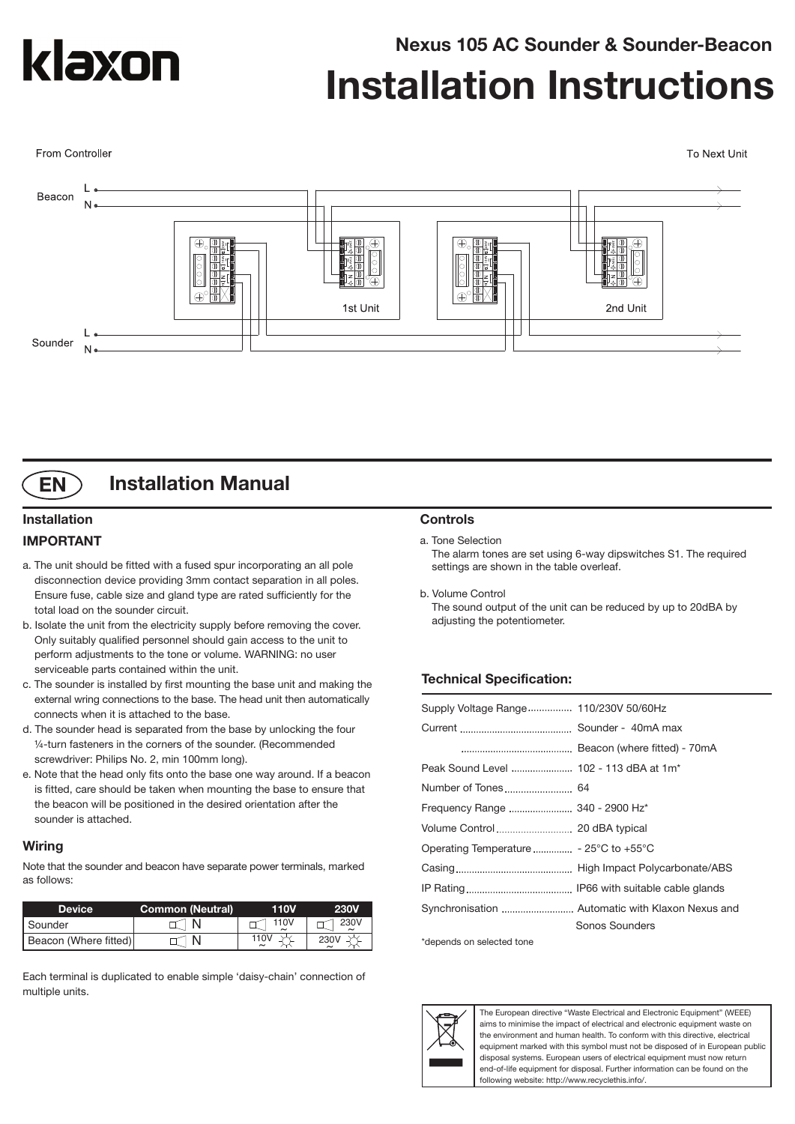

From Controller

**Nexus 105 AC Sounder & Sounder-Beacon**

# **Installation Instructions**

To Next Unit





### **Installation Manual**

#### **Installation IMPORTANT**

- a. The unit should be fitted with a fused spur incorporating an all pole disconnection device providing 3mm contact separation in all poles. Ensure fuse, cable size and gland type are rated sufficiently for the total load on the sounder circuit.
- b. Isolate the unit from the electricity supply before removing the cover. Only suitably qualified personnel should gain access to the unit to perform adjustments to the tone or volume. WARNING: no user serviceable parts contained within the unit.
- c. The sounder is installed by first mounting the base unit and making the external wring connections to the base. The head unit then automatically connects when it is attached to the base.
- d. The sounder head is separated from the base by unlocking the four ¼-turn fasteners in the corners of the sounder. (Recommended screwdriver: Philips No. 2, min 100mm long).
- e. Note that the head only fits onto the base one way around. If a beacon is fitted, care should be taken when mounting the base to ensure that the beacon will be positioned in the desired orientation after the sounder is attached.

#### **Wiring**

Note that the sounder and beacon have separate power terminals, marked as follows:

| <b>Device</b>         | <b>Common (Neutral)</b> | 110V | <b>230V</b> |
|-----------------------|-------------------------|------|-------------|
| I Sounder             |                         | 110V | 230V        |
| Beacon (Where fitted) |                         | 110\ |             |

Each terminal is duplicated to enable simple 'daisy-chain' connection of multiple units.

#### **Controls**

#### a. Tone Selection

The alarm tones are set using 6-way dipswitches S1. The required settings are shown in the table overleaf.

b. Volume Control The sound output of the unit can be reduced by up to 20dBA by adjusting the potentiometer.

#### **Technical Specification:**

| Supply Voltage Range 110/230V 50/60Hz  |
|----------------------------------------|
|                                        |
|                                        |
| Peak Sound Level  102 - 113 dBA at 1m* |
|                                        |
| Frequency Range  340 - 2900 Hz*        |
|                                        |
|                                        |
|                                        |
|                                        |
|                                        |
| Sonos Sounders                         |

\*depends on selected tone



The European directive "Waste Electrical and Electronic Equipment" (WEEE) aims to minimise the impact of electrical and electronic equipment waste on the environment and human health. To conform with this directive, electrical equipment marked with this symbol must not be disposed of in European public disposal systems. European users of electrical equipment must now return end-of-life equipment for disposal. Further information can be found on the following website: http://www.recyclethis.info/.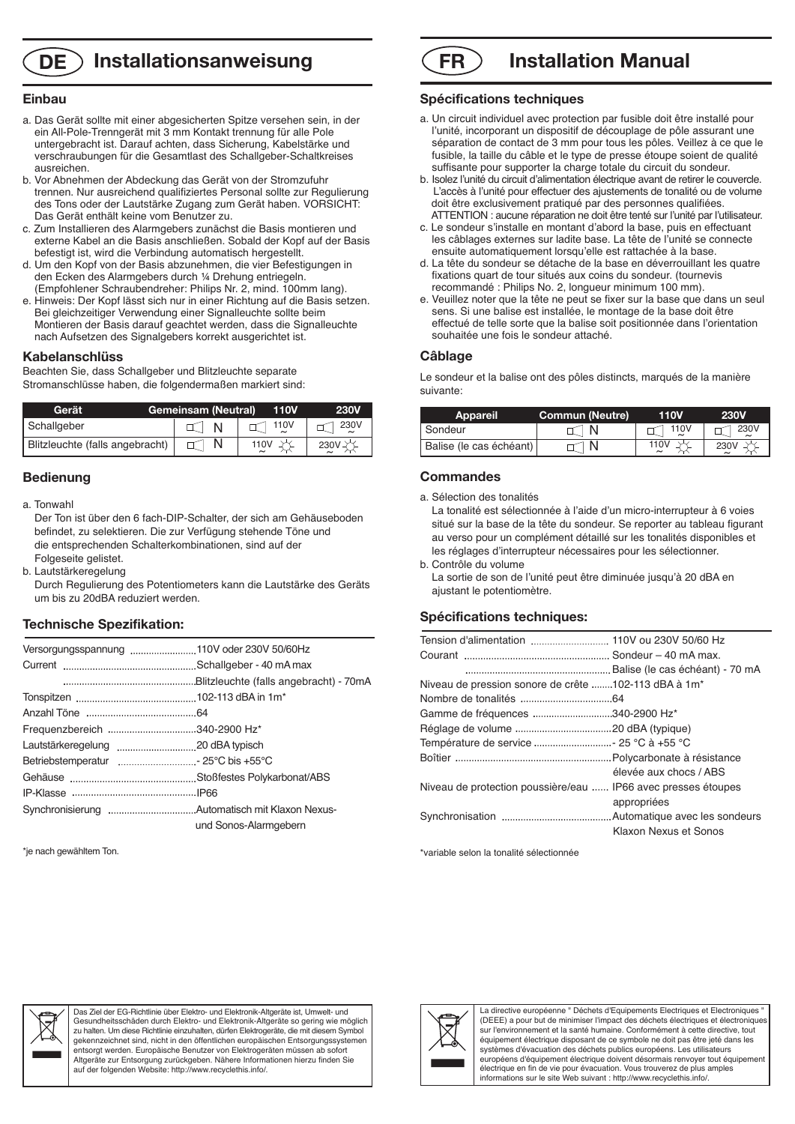### **DE Installationsanweisung**

#### **Einbau**

- a. Das Gerät sollte mit einer abgesicherten Spitze versehen sein, in der ein All-Pole-Trenngerät mit 3 mm Kontakt trennung für alle Pole untergebracht ist. Darauf achten, dass Sicherung, Kabelstärke und verschraubungen für die Gesamtlast des Schallgeber-Schaltkreises ausreichen.
- b. Vor Abnehmen der Abdeckung das Gerät von der Stromzufuhr trennen. Nur ausreichend qualifiziertes Personal sollte zur Regulierung des Tons oder der Lautstärke Zugang zum Gerät haben. VORSICHT: Das Gerät enthält keine vom Benutzer zu.
- c. Zum Installieren des Alarmgebers zunächst die Basis montieren und externe Kabel an die Basis anschließen. Sobald der Kopf auf der Basis befestigt ist, wird die Verbindung automatisch hergestellt.
- d. Um den Kopf von der Basis abzunehmen, die vier Befestigungen in den Ecken des Alarmgebers durch ¼ Drehung entriegeln. (Empfohlener Schraubendreher: Philips Nr. 2, mind. 100mm lang).
- e. Hinweis: Der Kopf lässt sich nur in einer Richtung auf die Basis setzen. Bei gleichzeitiger Verwendung einer Signalleuchte sollte beim Montieren der Basis darauf geachtet werden, dass die Signalleuchte nach Aufsetzen des Signalgebers korrekt ausgerichtet ist.

#### **Kabelanschlüss**

Beachten Sie, dass Schallgeber und Blitzleuchte separate Stromanschlüsse haben, die folgendermaßen markiert sind:

| Gerät                           | <b>Gemeinsam (Neutral)</b> | <b>110V</b> | <b>230V</b> |
|---------------------------------|----------------------------|-------------|-------------|
| Schallgeber                     |                            | 110V        | 230V        |
| Blitzleuchte (falls angebracht) |                            | 110V        | 230V        |

#### **Bedienung**

a. Tonwahl

Der Ton ist über den 6 fach-DIP-Schalter, der sich am Gehäuseboden befindet, zu selektieren. Die zur Verfügung stehende Töne und die entsprechenden Schalterkombinationen, sind auf der Folgeseite gelistet.

b. Lautstärkeregelung

Durch Regulierung des Potentiometers kann die Lautstärke des Geräts um bis zu 20dBA reduziert werden.

#### **Technische Spezifikation:**

|                              | Versorgungsspannung 110V oder 230V 50/60Hz |
|------------------------------|--------------------------------------------|
|                              |                                            |
|                              |                                            |
|                              |                                            |
|                              |                                            |
| Frequenzbereich 340-2900 Hz* |                                            |
|                              |                                            |
|                              |                                            |
|                              |                                            |
|                              |                                            |
|                              |                                            |
|                              | und Sonos-Alarmgebern                      |

\*je nach gewähltem Ton.



#### **Spécifications techniques**

- a. Un circuit individuel avec protection par fusible doit être installé pour l'unité, incorporant un dispositif de découplage de pôle assurant une séparation de contact de 3 mm pour tous les pôles. Veillez à ce que le fusible, la taille du câble et le type de presse étoupe soient de qualité suffisante pour supporter la charge totale du circuit du sondeur.
- b. Isolez l'unité du circuit d'alimentation électrique avant de retirer le couvercle. L'accès à l'unité pour effectuer des ajustements de tonalité ou de volume doit être exclusivement pratiqué par des personnes qualifiées. ATTENTION : aucune réparation ne doit être tenté sur l'unité par l'utilisateur.
- c. Le sondeur s'installe en montant d'abord la base, puis en effectuant les câblages externes sur ladite base. La tête de l'unité se connecte ensuite automatiquement lorsqu'elle est rattachée à la base.
- d. La tête du sondeur se détache de la base en déverrouillant les quatre fixations quart de tour situés aux coins du sondeur. (tournevis recommandé : Philips No. 2, longueur minimum 100 mm).
- e. Veuillez noter que la tête ne peut se fixer sur la base que dans un seul sens. Si une balise est installée, le montage de la base doit être effectué de telle sorte que la balise soit positionnée dans l'orientation souhaitée une fois le sondeur attaché.

#### **Câblage**

Le sondeur et la balise ont des pôles distincts, marqués de la manière suivante:

| <b>Appareil</b>         | <b>Commun (Neutre)</b> | 110V | 230V |
|-------------------------|------------------------|------|------|
| I Sondeur               |                        | 110V | 230V |
| Balise (le cas échéant) |                        | 110\ | 230V |

#### **Commandes**

a. Sélection des tonalités

La tonalité est sélectionnée à l'aide d'un micro-interrupteur à 6 voies situé sur la base de la tête du sondeur. Se reporter au tableau figurant au verso pour un complément détaillé sur les tonalités disponibles et les réglages d'interrupteur nécessaires pour les sélectionner.

b. Contrôle du volume La sortie de son de l'unité peut être diminuée jusqu'à 20 dBA en ajustant le potentiomètre.

#### **Spécifications techniques:**

| Niveau de pression sonore de crête 102-113 dBA à 1m <sup>*</sup> |                        |
|------------------------------------------------------------------|------------------------|
|                                                                  |                        |
| Gamme de fréquences 340-2900 Hz*                                 |                        |
|                                                                  |                        |
|                                                                  |                        |
|                                                                  |                        |
|                                                                  | élevée aux chocs / ABS |
| Niveau de protection poussière/eau  IP66 avec presses étoupes    |                        |
|                                                                  | appropriées            |
|                                                                  |                        |
|                                                                  | Klaxon Nexus et Sonos  |

\*variable selon la tonalité sélectionnée



Das Ziel der EG-Richtlinie über Elektro- und Elektronik-Altgeräte ist, Umwelt- und Gesundheitsschäden durch Elektro- und Elektronik-Altgeräte so gering wie möglich zu halten. Um diese Richtlinie einzuhalten, dürfen Elektrogeräte, die mit diesem Symbol gekennzeichnet sind, nicht in den öffentlichen europäischen Entsorgungssystemer<br>entsorgt werden. Europäische Benutzer von Elektrogeräten müssen ab sofort entsorgt werden. Europäische Benutzer von Elektrogeräten müssen ab sofort<br>Altgeräte zur Entsorgung zurückgeben. Nähere Informationen hierzu finden Sie<br>auf der folgenden Website: http://www.recyclethis.info/.



La directive européenne " Déchets d'Equipements Electriques et Electroniques " (DEEE) a pour but de minimiser l'impact des déchets électriques et électroniques sur l'environnement et la santé humaine. Conformément à cette directive, tout équipement électrique disposant de ce symbole ne doit pas être jeté dans les systèmes d'évacuation des déchets publics européens. Les utilisateurs européens d'équipement électrique doivent désormais renvoyer tout équipement électrique en fin de vie pour évacuation. Vous trouverez de plus amples informations sur le site Web suivant : http://www.recyclethis.info/.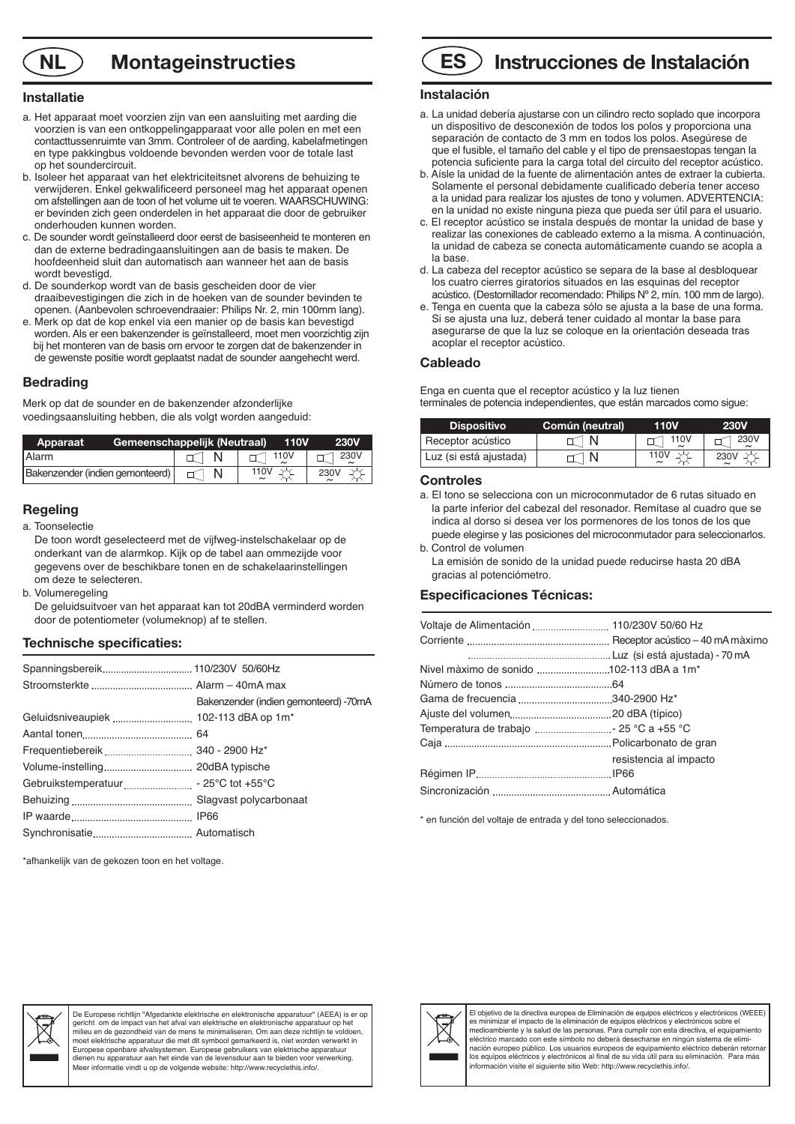### **NL Montageinstructies ES**

#### **Installatie**

- a. Het apparaat moet voorzien zijn van een aansluiting met aarding die voorzien is van een ontkoppelingapparaat voor alle polen en met een contacttussenruimte van 3mm. Controleer of de aarding, kabelafmetingen en type pakkingbus voldoende bevonden werden voor de totale last op het soundercircuit.
- b. Isoleer het apparaat van het elektriciteitsnet alvorens de behuizing te verwijderen. Enkel gekwalificeerd personeel mag het apparaat openen om afstellingen aan de toon of het volume uit te voeren. WAARSCHUWING: er bevinden zich geen onderdelen in het apparaat die door de gebruiker onderhouden kunnen worden.
- c. De sounder wordt geïnstalleerd door eerst de basiseenheid te monteren en dan de externe bedradingaansluitingen aan de basis te maken. De hoofdeenheid sluit dan automatisch aan wanneer het aan de basis wordt bevestigd.
- d. De sounderkop wordt van de basis gescheiden door de vier draaibevestigingen die zich in de hoeken van de sounder bevinden te openen. (Aanbevolen schroevendraaier: Philips Nr. 2, min 100mm lang).
- e. Merk op dat de kop enkel via een manier op de basis kan bevestigd worden. Als er een bakenzender is geïnstalleerd, moet men voorzichtig zijn bij het monteren van de basis om ervoor te zorgen dat de bakenzender in de gewenste positie wordt geplaatst nadat de sounder aangehecht werd.

#### **Bedrading**

Merk op dat de sounder en de bakenzender afzonderlijke voedingsaansluiting hebben, die als volgt worden aangeduid:

| Apparaat                        | Gemeenschappelijk (Neutraal) | <b>110V</b>   | <b>230V</b> |
|---------------------------------|------------------------------|---------------|-------------|
| <b>Alarm</b>                    |                              | $\sqcap$ 110V | 230V        |
| Bakenzender (indien gemonteerd) |                              | 110V          | 230V        |

#### **Regeling**

a. Toonselectie

De toon wordt geselecteerd met de vijfweg-instelschakelaar op de onderkant van de alarmkop. Kijk op de tabel aan ommezijde voor gegevens over de beschikbare tonen en de schakelaarinstellingen om deze te selecteren.

b. Volumeregeling

De geluidsuitvoer van het apparaat kan tot 20dBA verminderd worden door de potentiometer (volumeknop) af te stellen.

#### **Technische specificaties:**

|                                       | Bakenzender (indien gemonteerd) -70mA |
|---------------------------------------|---------------------------------------|
| Geluidsniveaupiek  102-113 dBA op 1m* |                                       |
|                                       |                                       |
|                                       |                                       |
|                                       |                                       |
|                                       |                                       |
|                                       |                                       |
|                                       |                                       |
|                                       |                                       |
|                                       |                                       |

\*afhankelijk van de gekozen toon en het voltage.

# **Instrucciones de Instalación**

#### **Instalación**

- a. La unidad debería ajustarse con un cilindro recto soplado que incorpora un dispositivo de desconexión de todos los polos y proporciona una separación de contacto de 3 mm en todos los polos. Asegúrese de que el fusible, el tamaño del cable y el tipo de prensaestopas tengan la potencia suficiente para la carga total del circuito del receptor acústico.
- b. Aísle la unidad de la fuente de alimentación antes de extraer la cubierta. Solamente el personal debidamente cualificado debería tener acceso a la unidad para realizar los ajustes de tono y volumen. ADVERTENCIA: en la unidad no existe ninguna pieza que pueda ser útil para el usuario.
- c. El receptor acústico se instala después de montar la unidad de base y realizar las conexiones de cableado externo a la misma. A continuación, la unidad de cabeza se conecta automáticamente cuando se acopla a la base.
- d. La cabeza del receptor acústico se separa de la base al desbloquear los cuatro cierres giratorios situados en las esquinas del receptor acústico. (Destornillador recomendado: Philips Nº 2, mín. 100 mm de largo).
- e. Tenga en cuenta que la cabeza sólo se ajusta a la base de una forma. Si se ajusta una luz, deberá tener cuidado al montar la base para asegurarse de que la luz se coloque en la orientación deseada tras acoplar el receptor acústico.

#### **Cableado**

Enga en cuenta que el receptor acústico y la luz tienen terminales de potencia independientes, que están marcados como sigue:

| <b>Dispositivo</b>     | Común (neutral) | 110V | <b>230V</b>      |
|------------------------|-----------------|------|------------------|
| Receptor acústico      |                 | 110V | 230V             |
| Luz (si está ajustada) |                 | 110\ | 230 <sub>b</sub> |

#### **Controles**

- a. El tono se selecciona con un microconmutador de 6 rutas situado en la parte inferior del cabezal del resonador. Remítase al cuadro que se indica al dorso si desea ver los pormenores de los tonos de los que puede elegirse y las posiciones del microconmutador para seleccionarlos. b. Control de volumen
- La emisión de sonido de la unidad puede reducirse hasta 20 dBA gracias al potenciómetro.

#### **Especificaciones Técnicas:**

| Nivel màximo de sonido 102-113 dBA a 1m <sup>*</sup> |                        |
|------------------------------------------------------|------------------------|
|                                                      |                        |
|                                                      |                        |
|                                                      |                        |
| Temperatura de trabajo  25 °C a +55 °C               |                        |
|                                                      |                        |
|                                                      | resistencia al impacto |
|                                                      |                        |
|                                                      |                        |

\* en función del voltaje de entrada y del tono seleccionados.



De Europese richtlijn "Afgedankte elektrische en elektronische apparatuur" (AEEA) is er op gericht om de impact van het afval van elektrische en elektronische apparatuur op het milieu en de gezondheid van de mens te minimaliseren. Om aan deze richtlijn te voldoen,<br>moet elektrische apparatuur die met dit symbool gemarkeerd is, niet worden verwerkt in<br>Europese openbare afvalsystemen. Europese gebru dienen nu apparatuur aan het einde van de levensduur aan te bieden voor verwerking. Meer informatie vindt u op de volgende website: http://www.recyclethis.info/.



El objetivo de la directiva europea de Eliminación de equipos eléctricos y electrónicos (WEEE)<br>es minimizar el impacto de la eliminación de equipos eléctricos y electrónicos sobre el<br>medioambiente y la salud de las persona eléctrico marcado con este símbolo no deberá desecharse en ningún sistema de eliminación europeo público. Los usuarios europeos de equipamiento eléctrico deberán retornar los equipos eléctricos y electrónicos al final de su vida útil para su eliminación. Para más información visite el siguiente sitio Web: http://www.recyclethis.info/.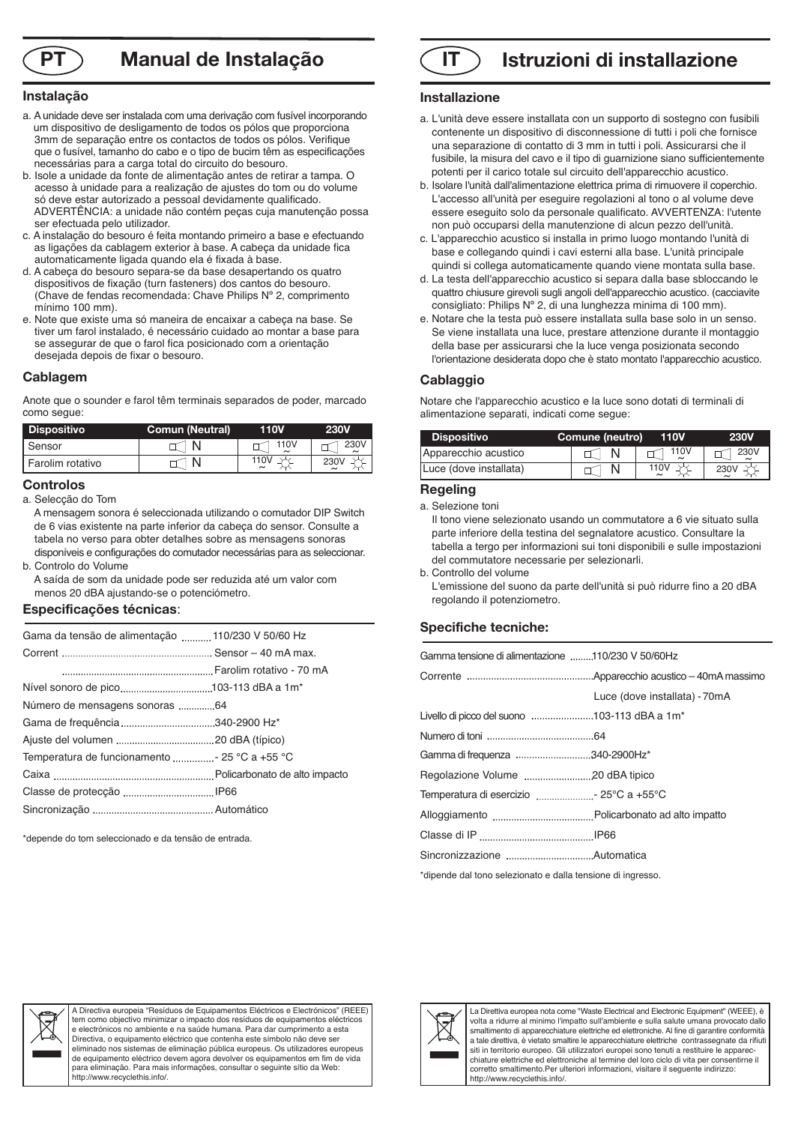

# **Manual de Instalação**

#### **Instalação**

- a. Aunidade deve ser instalada com uma derivação com fusível incorporando um dispositivo de desligamento de todos os pólos que proporciona 3mm de separação entre os contactos de todos os pólos. Verifique que o fusível, tamanho do cabo e o tipo de bucim têm as especificações necessárias para a carga total do circuito do besouro.
- b. Isole a unidade da fonte de alimentação antes de retirar a tampa. O acesso à unidade para a realização de ajustes do tom ou do volume só deve estar autorizado a pessoal devidamente qualificado. ADVERTÊNCIA: a unidade não contém peças cuja manutenção possa ser efectuada pelo utilizador.
- c. A instalação do besouro é feita montando primeiro a base e efectuando as ligações da cablagem exterior à base. A cabeça da unidade fica automaticamente ligada quando ela é fixada à base.
- d. A cabeça do besouro separa-se da base desapertando os quatro dispositivos de fixação (turn fasteners) dos cantos do besouro. (Chave de fendas recomendada: Chave Philips Nº 2, comprimento mínimo 100 mm).
- e. Note que existe uma só maneira de encaixar a cabeça na base. Se tiver um farol instalado, é necessário cuidado ao montar a base para se assegurar de que o farol fica posicionado com a orientação desejada depois de fixar o besouro.

#### **Cablagem**

Anote que o sounder e farol têm terminais separados de poder, marcado como segue:

| <b>Dispositivo</b> | <b>Comun (Neutral)</b> | <b>10V</b> | 230V |
|--------------------|------------------------|------------|------|
| I Sensor           |                        | 110V       | 230V |
| I Farolim rotativo |                        | 110V       |      |

#### . **Controlos**

a. Selecção do Tom

- A mensagem sonora é seleccionada utilizando o comutador DIP Switch de 6 vias existente na parte inferior da cabeça do sensor. Consulte a tabela no verso para obter detalhes sobre as mensagens sonoras disponíveis e configurações do comutador necessárias para as seleccionar. b. Controlo do Volume
- A saída de som da unidade pode ser reduzida até um valor com menos 20 dBA ajustando-se o potenciómetro.

#### **Especificações técnicas**:

| Gama da tensão de alimentação  110/230 V 50/60 Hz |  |
|---------------------------------------------------|--|
|                                                   |  |
|                                                   |  |
|                                                   |  |
| Número de mensagens sonoras 64                    |  |
| Gama de frequência 340-2900 Hz*                   |  |
|                                                   |  |
| Temperatura de funcionamento  - 25 °C a +55 °C    |  |
|                                                   |  |
|                                                   |  |
|                                                   |  |

\*depende do tom seleccionado e da tensão de entrada.

# **PT IT Istruzioni di installazione**

#### **Installazione**

- a. L'unità deve essere installata con un supporto di sostegno con fusibili contenente un dispositivo di disconnessione di tutti i poli che fornisce una separazione di contatto di 3 mm in tutti i poli. Assicurarsi che il fusibile, la misura del cavo e il tipo di guarnizione siano sufficientemente potenti per il carico totale sul circuito dell'apparecchio acustico.
- b. Isolare l'unità dall'alimentazione elettrica prima di rimuovere il coperchio. L'accesso all'unità per eseguire regolazioni al tono o al volume deve essere eseguito solo da personale qualificato. AVVERTENZA: l'utente non può occuparsi della manutenzione di alcun pezzo dell'unità.
- c. L'apparecchio acustico si installa in primo luogo montando l'unità di base e collegando quindi i cavi esterni alla base. L'unità principale quindi si collega automaticamente quando viene montata sulla base.
- d. La testa dell'apparecchio acustico si separa dalla base sbloccando le quattro chiusure girevoli sugli angoli dell'apparecchio acustico. (cacciavite consigliato: Philips Nº 2, di una lunghezza minima di 100 mm).
- e. Notare che la testa può essere installata sulla base solo in un senso. Se viene installata una luce, prestare attenzione durante il montaggio della base per assicurarsi che la luce venga posizionata secondo l'orientazione desiderata dopo che è stato montato l'apparecchio acustico.

#### **Cablaggio**

Notare che l'apparecchio acustico e la luce sono dotati di terminali di alimentazione separati, indicati come segue:

| <b>Dispositivo</b>     | Comune (neutro) | <b>110V</b> | <b>230V</b> |
|------------------------|-----------------|-------------|-------------|
| Apparecchio acustico   |                 | 110V        | 230V        |
| Luce (dove installata) |                 | 110V        | 230V        |

#### **Regeling**

a. Selezione toni

Il tono viene selezionato usando un commutatore a 6 vie situato sulla parte inferiore della testina del segnalatore acustico. Consultare la tabella a tergo per informazioni sui toni disponibili e sulle impostazioni del commutatore necessarie per selezionarli.

b. Controllo del volume

L'emissione del suono da parte dell'unità si può ridurre fino a 20 dBA regolando il potenziometro.

#### **Specifiche tecniche:**

| Gamma tensione di alimentazione 110/230 V 50/60Hz           |                               |  |
|-------------------------------------------------------------|-------------------------------|--|
|                                                             |                               |  |
|                                                             | Luce (dove installata) - 70mA |  |
| Livello di picco del suono 103-113 dBA a 1m <sup>*</sup>    |                               |  |
|                                                             |                               |  |
| Gamma di frequenza 340-2900Hz*                              |                               |  |
|                                                             |                               |  |
|                                                             |                               |  |
|                                                             |                               |  |
|                                                             |                               |  |
|                                                             |                               |  |
| *dipende dal tono selezionato e dalla tensione di ingresso. |                               |  |



A Directiva europeia "Resíduos de Equipamentos Eléctricos e Electrónicos" (REEE) tem como objectivo minimizar o impacto dos resíduos de equipamentos eléctricos e electrónicos no ambiente e na saúde humana. Para dar cumprimento a esta Directiva, o equipamento eléctrico que contenha este símbolo não deve ser eliminado nos sistemas de eliminação pública europeus. Os utilizadores europeus de equipamento eléctrico devem agora devolver os equipamentos em fim de vida para eliminação. Para mais informações, consultar o seguinte sítio da Web: http://www.recyclethis.info/.



La Direttiva europea nota come "Waste Electrical and Electronic Equipment" (WEEE), è volta a ridurre al minimo l'impatto sull'ambiente e sulla salute umana provocato dallo smaltimento di apparecchiature elettriche ed elettroniche. Al fine di garantire conformità a tale direttiva, è vietato smaltire le apparecchiature elettriche contrassegnate da rifiuti siti in territorio europeo. Gli utilizzatori europei sono tenuti a restituire le apparecchiature elettriche ed elettroniche al termine del loro ciclo di vita per consentirne il corretto smaltimento.Per ulteriori informazioni, visitare il seguente indirizzo: http://www.recyclethis.info/.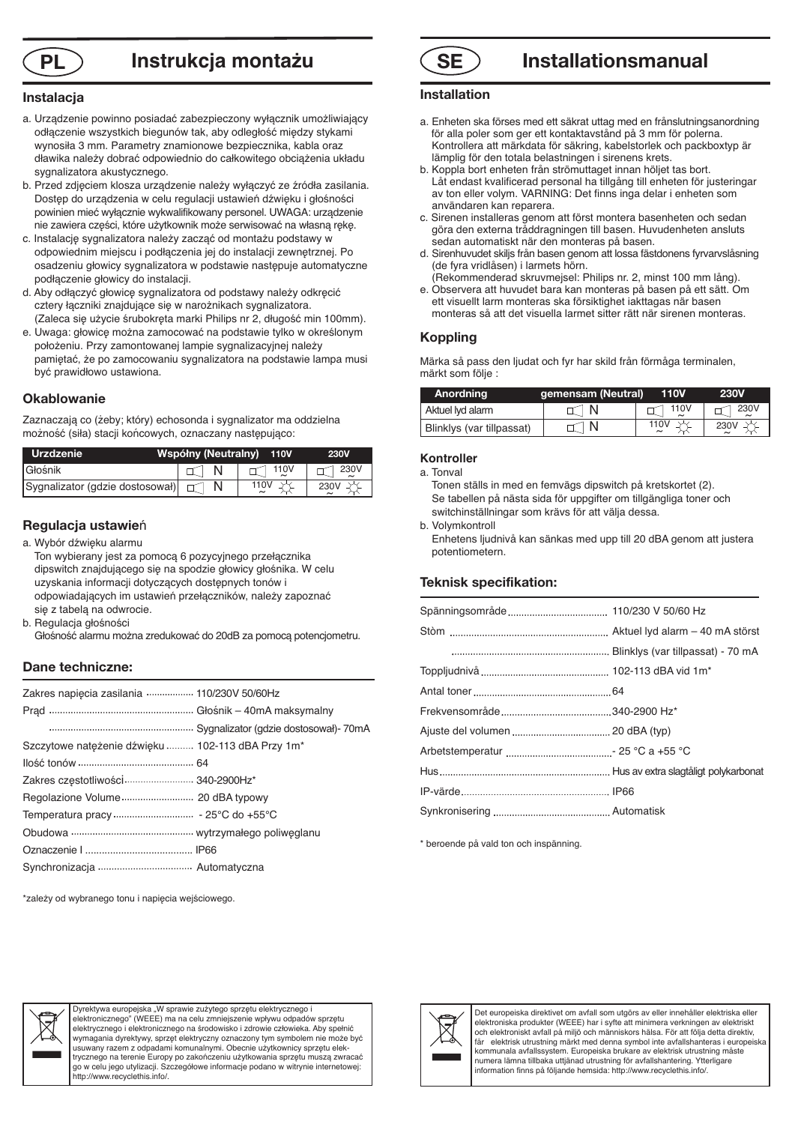

# **PL Instrukcja montażu SE**

#### **Instalacja**

- a. Urządzenie powinno posiadać zabezpieczony wyłącznik umożliwiający odłączenie wszystkich biegunów tak, aby odległość między stykami wynosiła 3 mm. Parametry znamionowe bezpiecznika, kabla oraz dławika należy dobrać odpowiednio do całkowitego obciążenia układu sygnalizatora akustycznego.
- b. Przed zdjęciem klosza urządzenie należy wyłączyć ze źródła zasilania. Dostęp do urządzenia w celu regulacji ustawień dźwięku i głośności powinien mieć wyłącznie wykwalifikowany personel. UWAGA: urządzenie nie zawiera części, które użytkownik może serwisować na własną rękę.
- c. Instalację sygnalizatora należy zacząć od montażu podstawy w odpowiednim miejscu i podłączenia jej do instalacji zewnętrznej. Po osadzeniu głowicy sygnalizatora w podstawie następuje automatyczne podłączenie głowicy do instalacji.
- d. Aby odłączyć głowicę sygnalizatora od podstawy należy odkręcić cztery łączniki znajdujące się w narożnikach sygnalizatora. (Zaleca się użycie śrubokręta marki Philips nr 2, długość min 100mm).
- e. Uwaga: głowicę można zamocować na podstawie tylko w określonym położeniu. Przy zamontowanej lampie sygnalizacyjnej należy pamiętać, że po zamocowaniu sygnalizatora na podstawie lampa musi być prawidłowo ustawiona.

#### **Okablowanie**

Zaznaczają co (żeby; który) echosonda i sygnalizator ma oddzielna możność (siła) stacji końcowych, oznaczany następująco:

| <b>Urzdzenie</b>                         | Współny (Neutralny) 110V |               | <b>230V</b> |
|------------------------------------------|--------------------------|---------------|-------------|
| <b>I</b> Głośnik                         |                          | $\sqcap$ 110V | 230V        |
| Sygnalizator (gdzie dostosował) $\Box$ N |                          |               | 230\        |

#### **Regulacja ustawie**ń

a. Wybór dźwięku alarmu Ton wybierany jest za pomocą 6 pozycyjnego przełącznika dipswitch znajdującego się na spodzie głowicy głośnika. W celu uzyskania informacji dotyczących dostępnych tonów i odpowiadających im ustawień przełączników, należy zapoznać się z tabelą na odwrocie.

b. Regulacia głośności

Głośność alarmu można zredukować do 20dB za pomocą potencjometru.

#### **Dane techniczne:**

| Zakres napiecia zasilania  110/230V 50/60Hz       |  |
|---------------------------------------------------|--|
|                                                   |  |
|                                                   |  |
| Szczytowe natężenie dźwięku  102-113 dBA Przy 1m* |  |
|                                                   |  |
| Zakres częstotliwości  340-2900Hz*                |  |
|                                                   |  |
|                                                   |  |
|                                                   |  |
|                                                   |  |
|                                                   |  |
|                                                   |  |

## **Installationsmanual**

#### **Installation**

- a. Enheten ska förses med ett säkrat uttag med en frånslutningsanordning för alla poler som ger ett kontaktavstånd på 3 mm för polerna. Kontrollera att märkdata för säkring, kabelstorlek och packboxtyp är lämplig för den totala belastningen i sirenens krets.
- b. Koppla bort enheten från strömuttaget innan höljet tas bort. Låt endast kvalificerad personal ha tillgång till enheten för justeringar av ton eller volym. VARNING: Det finns inga delar i enheten som användaren kan reparera.
- c. Sirenen installeras genom att först montera basenheten och sedan göra den externa tråddragningen till basen. Huvudenheten ansluts sedan automatiskt när den monteras på basen.
- d. Sirenhuvudet skiljs från basen genom att lossa fästdonens fyrvarvslåsning (de fyra vridlåsen) i larmets hörn.
- (Rekommenderad skruvmejsel: Philips nr. 2, minst 100 mm lång). e. Observera att huvudet bara kan monteras på basen på ett sätt. Om ett visuellt larm monteras ska försiktighet iakttagas när basen
- monteras så att det visuella larmet sitter rätt när sirenen monteras.

#### **Koppling**

Märka så pass den ljudat och fyr har skild från förmåga terminalen, märkt som följe :

| Anordning                 | gemensam (Neutral) | <b>110V</b> | <b>230V</b> |
|---------------------------|--------------------|-------------|-------------|
| Aktuel lyd alarm          |                    | 1110V       | 230V        |
| Blinklys (var tillpassat) | - N                | 110V        | 230V        |

#### **Kontroller**

a. Tonval

Tonen ställs in med en femvägs dipswitch på kretskortet (2). Se tabellen på nästa sida för uppgifter om tillgängliga toner och switchinställningar som krävs för att välja dessa.

b. Volymkontroll

Enhetens ljudnivå kan sänkas med upp till 20 dBA genom att justera potentiometern.

#### **Teknisk specifikation:**

\* beroende på vald ton och inspänning.

\*zależy od wybranego tonu i napięcia wejściowego.



Dyrektywa europeiska ..W sprawie zużytego sprzętu elektrycznego i elektronicznego" (WEEE) ma na celu zmniejszenie wpływu odpadów sprzętu elektrycznego i elektronicznego na środowisko i zdrowie człowieka. Aby spełnić wymagania dyrektywy, sprzęt elektryczny oznaczony tym symbolem nie może być usuwany razem z odpadami komunalnymi. Obecnie użytkownicy sprzętu elek-trycznego na terenie Europy po zakończeniu użytkowania sprzętu muszą zwracać go w celu jego utylizacji. Szczegółowe informacje podano w witrynie internetowej: http://www.recyclethis.info/.



Det europeiska direktivet om avfall som utgörs av eller innehåller elektriska eller elektroniska produkter (WEEE) har i syfte att minimera verkningen av elektriskt och elektroniskt avfall på miljö och människors hälsa. För att följa detta direktiv, får elektrisk utrustning märkt med denna symbol inte avfallshanteras i europeiska kommunala avfallssystem. Europeiska brukare av elektrisk utrustning måste numera lämna tillbaka uttjänad utrustning för avfallshantering. Ytterligare information finns på följande hemsida: http://www.recyclethis.info/.